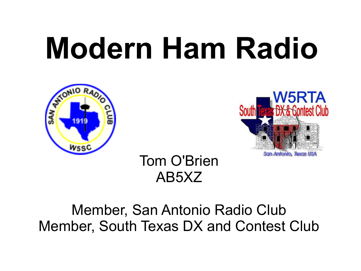# **Modern Ham Radio**





Tom O'Brien AB5XZ

#### Member, San Antonio Radio Club Member, South Texas DX and Contest Club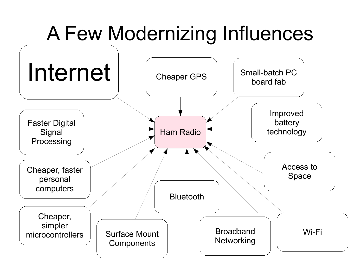# A Few Modernizing Influences

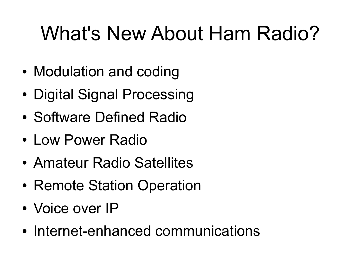# What's New About Ham Radio?

- Modulation and coding
- Digital Signal Processing
- Software Defined Radio
- Low Power Radio
- Amateur Radio Satellites
- Remote Station Operation
- Voice over IP
- Internet-enhanced communications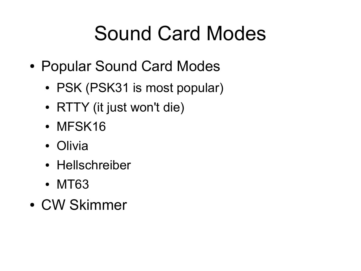# Sound Card Modes

- Popular Sound Card Modes
	- PSK (PSK31 is most popular)
	- RTTY (it just won't die)
	- MFSK16
	- Olivia
	- Hellschreiber
	- MT63
- CW Skimmer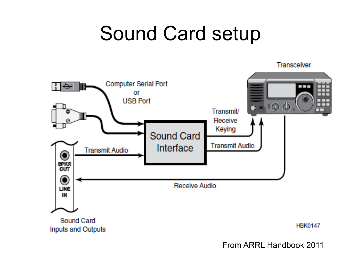#### Sound Card setup



From ARRL Handbook 2011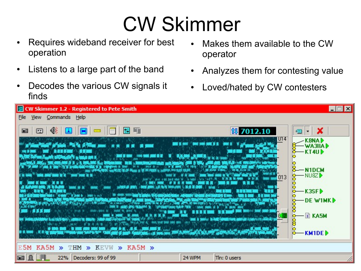# CW Skimmer

- Requires wideband receiver for best operation
- Listens to a large part of the band
- Decodes the various CW signals it finds
- Makes them available to the CW operator
- Analyzes them for contesting value
- Loved/hated by CW contesters

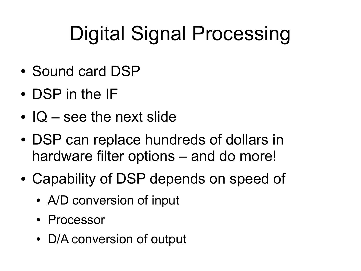# Digital Signal Processing

- Sound card DSP
- DSP in the IF
- $\cdot$  IQ see the next slide
- DSP can replace hundreds of dollars in hardware filter options – and do more!
- Capability of DSP depends on speed of
	- A/D conversion of input
	- Processor
	- D/A conversion of output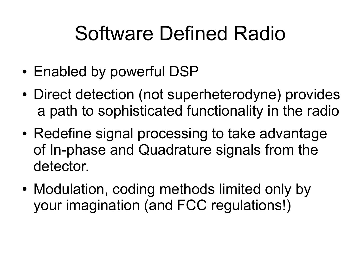# Software Defined Radio

- Enabled by powerful DSP
- Direct detection (not superheterodyne) provides a path to sophisticated functionality in the radio
- Redefine signal processing to take advantage of In-phase and Quadrature signals from the detector.
- Modulation, coding methods limited only by your imagination (and FCC regulations!)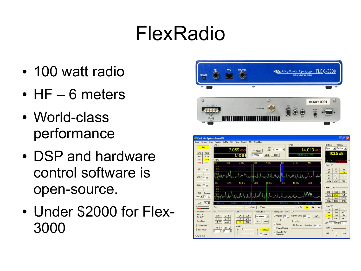# FlexRadio

- 100 watt radio
- $\cdot$  HF 6 meters
- World-class performance
- DSP and hardware control software is open-source.
- Under \$2000 for Flex-3000

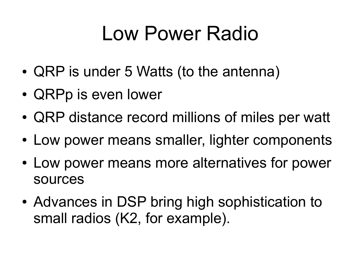#### Low Power Radio

- QRP is under 5 Watts (to the antenna)
- QRPp is even lower
- QRP distance record millions of miles per watt
- Low power means smaller, lighter components
- Low power means more alternatives for power sources
- Advances in DSP bring high sophistication to small radios (K2, for example).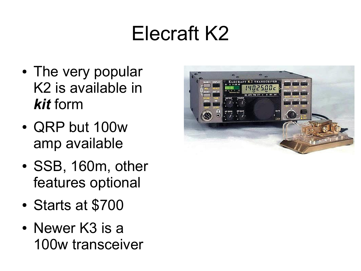# Elecraft K2

- The very popular K2 is available in *kit* form
- QRP but 100w amp available
- SSB, 160m, other features optional
- Starts at \$700
- $\bullet$  Newer K3 is a 100w transceiver

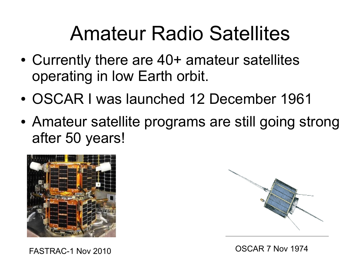#### Amateur Radio Satellites

- Currently there are 40+ amateur satellites operating in low Earth orbit.
- OSCAR I was launched 12 December 1961
- Amateur satellite programs are still going strong after 50 years!



FASTRAC-1 Nov 2010 OSCAR 7 Nov 1974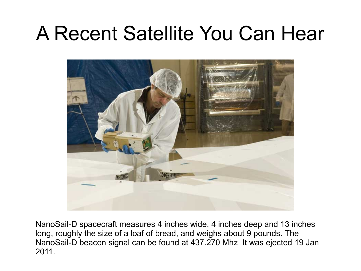#### A Recent Satellite You Can Hear



NanoSail-D spacecraft measures 4 inches wide, 4 inches deep and 13 inches long, roughly the size of a loaf of bread, and weighs about 9 pounds. The NanoSail-D beacon signal can be found at 437.270 Mhz It was ejected 19 Jan 2011.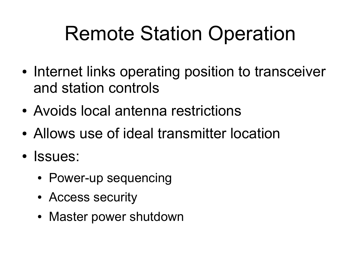# Remote Station Operation

- Internet links operating position to transceiver and station controls
- Avoids local antenna restrictions
- Allows use of ideal transmitter location
- Issues:
	- Power-up sequencing
	- Access security
	- Master power shutdown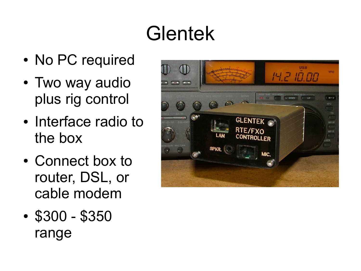# Glentek

- No PC required
- Two way audio plus rig control
- Interface radio to the box
- Connect box to router, DSL, or cable modem
- \$300 \$350 range

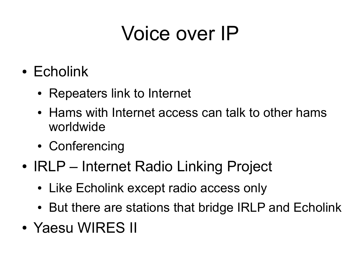# Voice over IP

- Echolink
	- Repeaters link to Internet
	- Hams with Internet access can talk to other hams worldwide
	- Conferencing
- IRLP Internet Radio Linking Project
	- Like Echolink except radio access only
	- But there are stations that bridge IRLP and Echolink
- Yaesu WIRES II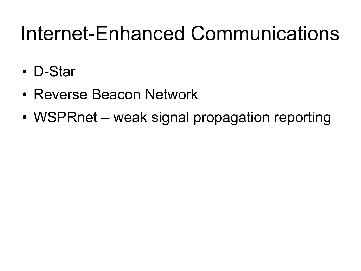#### Internet-Enhanced Communications

- D-Star
- Reverse Beacon Network
- WSPRnet weak signal propagation reporting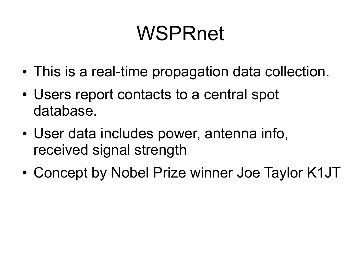# WSPRnet

- This is a real-time propagation data collection.
- Users report contacts to a central spot database.
- User data includes power, antenna info, received signal strength
- Concept by Nobel Prize winner Joe Taylor K1JT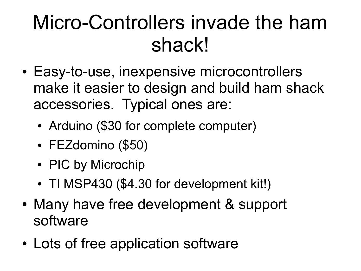# Micro-Controllers invade the ham shack!

- Easy-to-use, inexpensive microcontrollers make it easier to design and build ham shack accessories. Typical ones are:
	- Arduino (\$30 for complete computer)
	- FEZdomino (\$50)
	- PIC by Microchip
	- TI MSP430 (\$4.30 for development kit!)
- Many have free development & support software
- Lots of free application software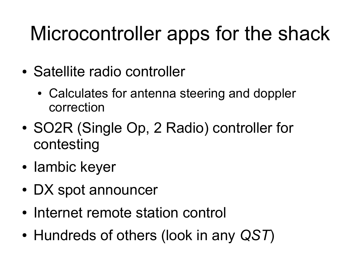# Microcontroller apps for the shack

- Satellite radio controller
	- Calculates for antenna steering and doppler correction
- SO2R (Single Op, 2 Radio) controller for contesting
- lambic keyer
- DX spot announcer
- Internet remote station control
- Hundreds of others (look in any QST)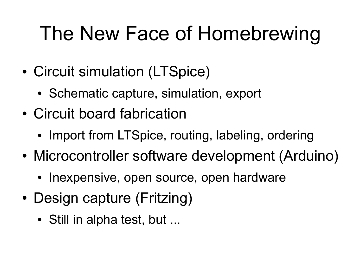# The New Face of Homebrewing

- Circuit simulation (LTSpice)
	- Schematic capture, simulation, export
- Circuit board fabrication
	- Import from LTSpice, routing, labeling, ordering
- Microcontroller software development (Arduino)
	- Inexpensive, open source, open hardware
- Design capture (Fritzing)
	- Still in alpha test, but ...